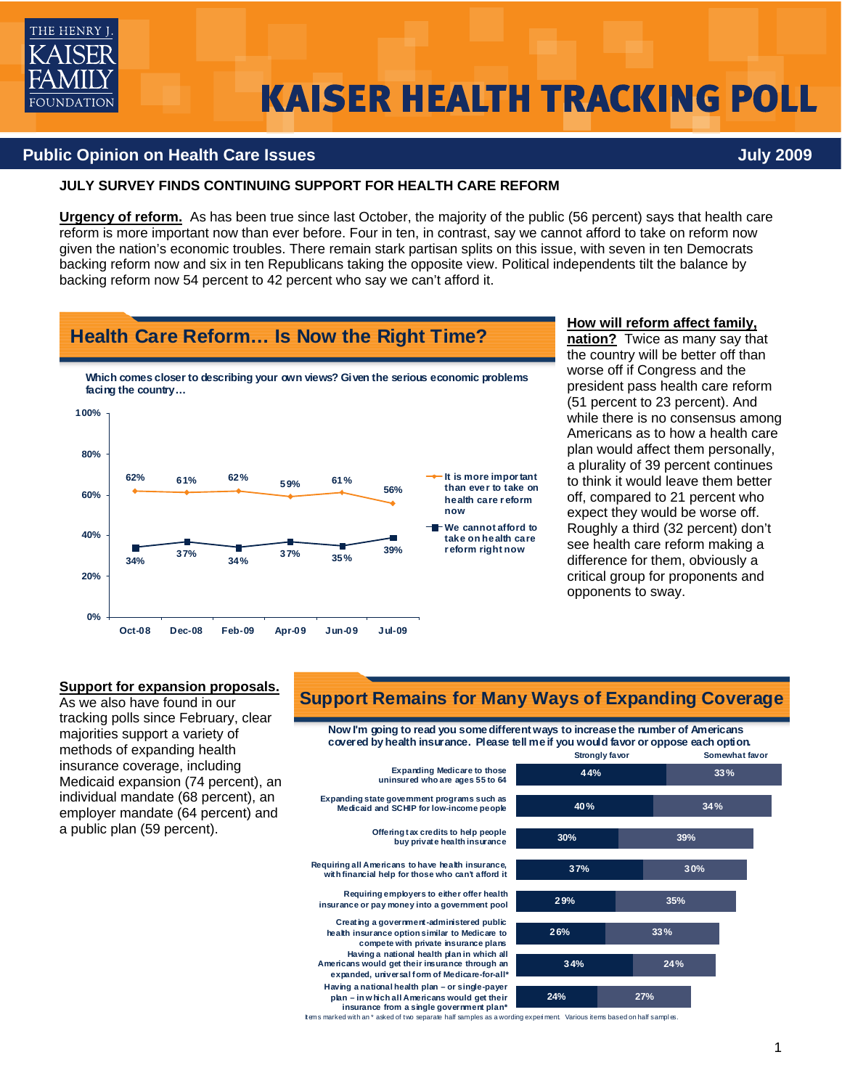

# **KAISER HEALTH TRACKING POLL**

#### **Public Opinion on Health Care Issues July 2009**

#### **JULY SURVEY FINDS CONTINUING SUPPORT FOR HEALTH CARE REFORM**

**Health Care Reform… Is Now the Right Time?**

**Urgency of reform.** As has been true since last October, the majority of the public (56 percent) says that health care reform is more important now than ever before. Four in ten, in contrast, say we cannot afford to take on reform now given the nation's economic troubles. There remain stark partisan splits on this issue, with seven in ten Democrats backing reform now and six in ten Republicans taking the opposite view. Political independents tilt the balance by backing reform now 54 percent to 42 percent who say we can't afford it.



#### **How will reform affect family,**

**nation?** Twice as many say that the country will be better off than worse off if Congress and the president pass health care reform (51 percent to 23 percent). And while there is no consensus among Americans as to how a health care plan would affect them personally, a plurality of 39 percent continues to think it would leave them better off, compared to 21 percent who expect they would be worse off. Roughly a third (32 percent) don't see health care reform making a difference for them, obviously a critical group for proponents and opponents to sway.

#### **Support for expansion proposals.**

As we also have found in our tracking polls since February, clear majorities support a variety of methods of expanding health insurance coverage, including Medicaid expansion (74 percent), an individual mandate (68 percent), an employer mandate (64 percent) and a public plan (59 percent).

## **Support Remains for Many Ways of Expanding Coverage**

**Now I'm going to read you some different ways to increase the number of Americans covered by health insurance. Please tell me if you would favor or oppose each option. Somewhat favor 34% 26% 29% 37% 30% 40% 44% 27% 24% 33% 35% 30% 39% 34% 33% 24% Expanding Medicare to those uninsured who are ages 55 to 64 Requiring all Americans to have health insurance, with financial help for those who can't afford it Offering tax credits to help people buy private health insurance Having a national health plan in which all Americans would get their insurance through an expanded, universal form of Medicare-for-all\* Expanding state government programs such as Medicaid and SCHIP for low-income people Requiring employers to either offer health insurance or pay money into a government pool Creating a government-administered public health insurance option similar to Medicare to compete with private insurance plans Having a national health plan – or single-payer plan – in w hich all Americans would get their insurance from a single government plan\***

Items marked with an \* asked of two separate half samples as a wording experi ment. Various items based on half sampl es.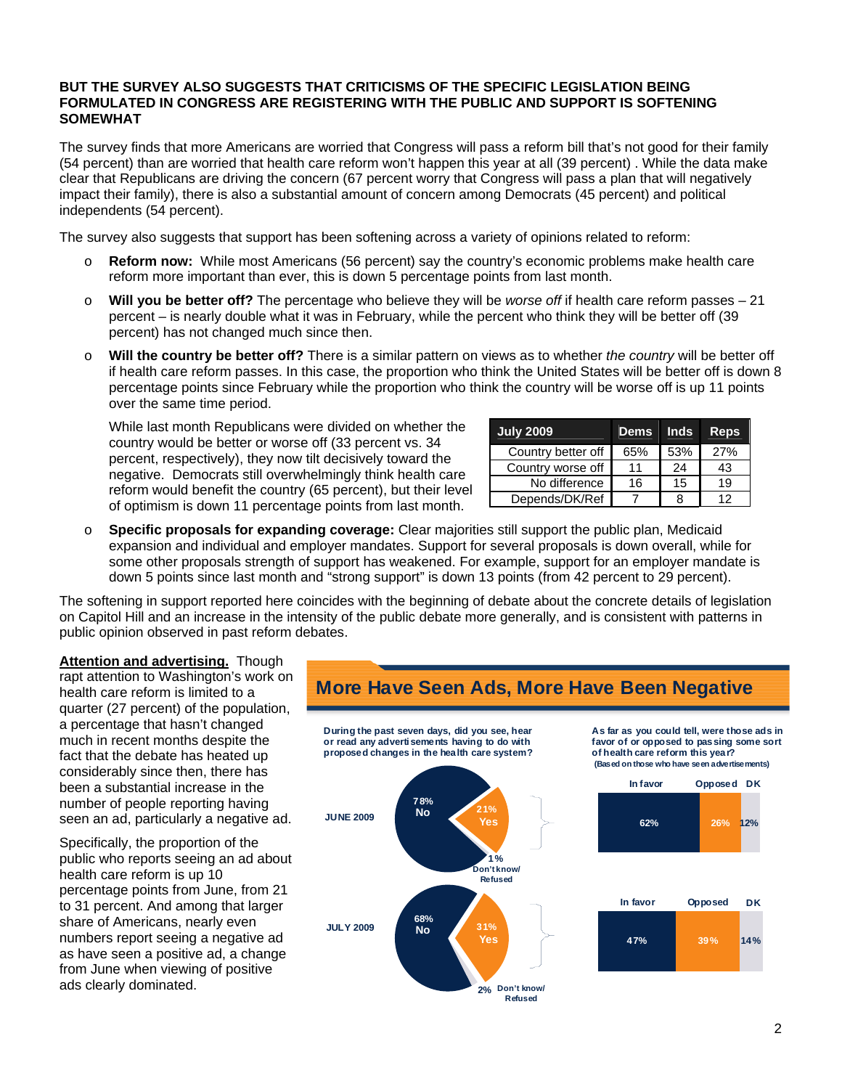#### **BUT THE SURVEY ALSO SUGGESTS THAT CRITICISMS OF THE SPECIFIC LEGISLATION BEING FORMULATED IN CONGRESS ARE REGISTERING WITH THE PUBLIC AND SUPPORT IS SOFTENING SOMEWHAT**

The survey finds that more Americans are worried that Congress will pass a reform bill that's not good for their family (54 percent) than are worried that health care reform won't happen this year at all (39 percent) . While the data make clear that Republicans are driving the concern (67 percent worry that Congress will pass a plan that will negatively impact their family), there is also a substantial amount of concern among Democrats (45 percent) and political independents (54 percent).

The survey also suggests that support has been softening across a variety of opinions related to reform:

- o **Reform now:** While most Americans (56 percent) say the country's economic problems make health care reform more important than ever, this is down 5 percentage points from last month.
- o **Will you be better off?** The percentage who believe they will be *worse off* if health care reform passes 21 percent – is nearly double what it was in February, while the percent who think they will be better off (39 percent) has not changed much since then.
- o **Will the country be better off?** There is a similar pattern on views as to whether *the country* will be better off if health care reform passes. In this case, the proportion who think the United States will be better off is down 8 percentage points since February while the proportion who think the country will be worse off is up 11 points over the same time period.

While last month Republicans were divided on whether the country would be better or worse off (33 percent vs. 34 percent, respectively), they now tilt decisively toward the negative. Democrats still overwhelmingly think health care reform would benefit the country (65 percent), but their level of optimism is down 11 percentage points from last month.

| <b>July 2009</b>   | <b>Dems</b> | <b>Inds</b> | <b>Reps</b> |
|--------------------|-------------|-------------|-------------|
| Country better off | 65%         | 53%         | 27%         |
| Country worse off  | 11          | 24          | 43          |
| No difference      | 16          | 15          | 19          |
| Depends/DK/Ref     |             |             | 12          |

o **Specific proposals for expanding coverage:** Clear majorities still support the public plan, Medicaid expansion and individual and employer mandates. Support for several proposals is down overall, while for some other proposals strength of support has weakened. For example, support for an employer mandate is down 5 points since last month and "strong support" is down 13 points (from 42 percent to 29 percent).

The softening in support reported here coincides with the beginning of debate about the concrete details of legislation on Capitol Hill and an increase in the intensity of the public debate more generally, and is consistent with patterns in public opinion observed in past reform debates.

**Attention and advertising.** Though rapt attention to Washington's work on health care reform is limited to a quarter (27 percent) of the population, a percentage that hasn't changed much in recent months despite the fact that the debate has heated up considerably since then, there has been a substantial increase in the number of people reporting having seen an ad, particularly a negative ad.

Specifically, the proportion of the public who reports seeing an ad about health care reform is up 10 percentage points from June, from 21 to 31 percent. And among that larger share of Americans, nearly even numbers report seeing a negative ad as have seen a positive ad, a change from June when viewing of positive ads clearly dominated.

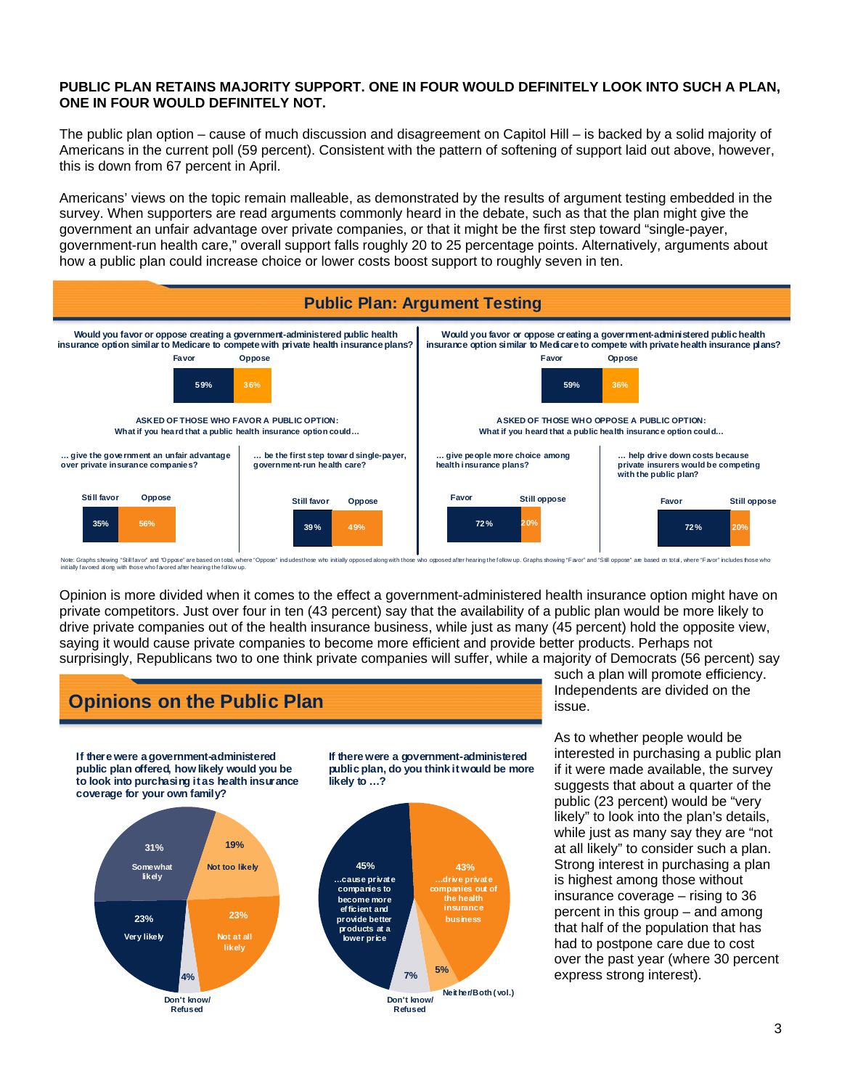#### **PUBLIC PLAN RETAINS MAJORITY SUPPORT. ONE IN FOUR WOULD DEFINITELY LOOK INTO SUCH A PLAN, ONE IN FOUR WOULD DEFINITELY NOT.**

The public plan option – cause of much discussion and disagreement on Capitol Hill – is backed by a solid majority of Americans in the current poll (59 percent). Consistent with the pattern of softening of support laid out above, however, this is down from 67 percent in April.

Americans' views on the topic remain malleable, as demonstrated by the results of argument testing embedded in the survey. When supporters are read arguments commonly heard in the debate, such as that the plan might give the government an unfair advantage over private companies, or that it might be the first step toward "single-payer, government-run health care," overall support falls roughly 20 to 25 percentage points. Alternatively, arguments about how a public plan could increase choice or lower costs boost support to roughly seven in ten.



.<br>Indudesthose who initially opposed along with those who opposed after hearing the follow up. Graphs showing "Favor" and "Still oppose" are based on total , where "Favor" includes frose who Note: Graphs showing "Still favor" and "Oppose" are based on total, where<br>initially favored along with those who favored after hearing the follow up.

Opinion is more divided when it comes to the effect a government-administered health insurance option might have on private competitors. Just over four in ten (43 percent) say that the availability of a public plan would be more likely to drive private companies out of the health insurance business, while just as many (45 percent) hold the opposite view, saying it would cause private companies to become more efficient and provide better products. Perhaps not surprisingly, Republicans two to one think private companies will suffer, while a majority of Democrats (56 percent) say



such a plan will promote efficiency. Independents are divided on the issue.

As to whether people would be interested in purchasing a public plan if it were made available, the survey suggests that about a quarter of the public (23 percent) would be "very likely" to look into the plan's details, while just as many say they are "not at all likely" to consider such a plan. Strong interest in purchasing a plan is highest among those without insurance coverage – rising to 36 percent in this group – and among that half of the population that has had to postpone care due to cost over the past year (where 30 percent express strong interest).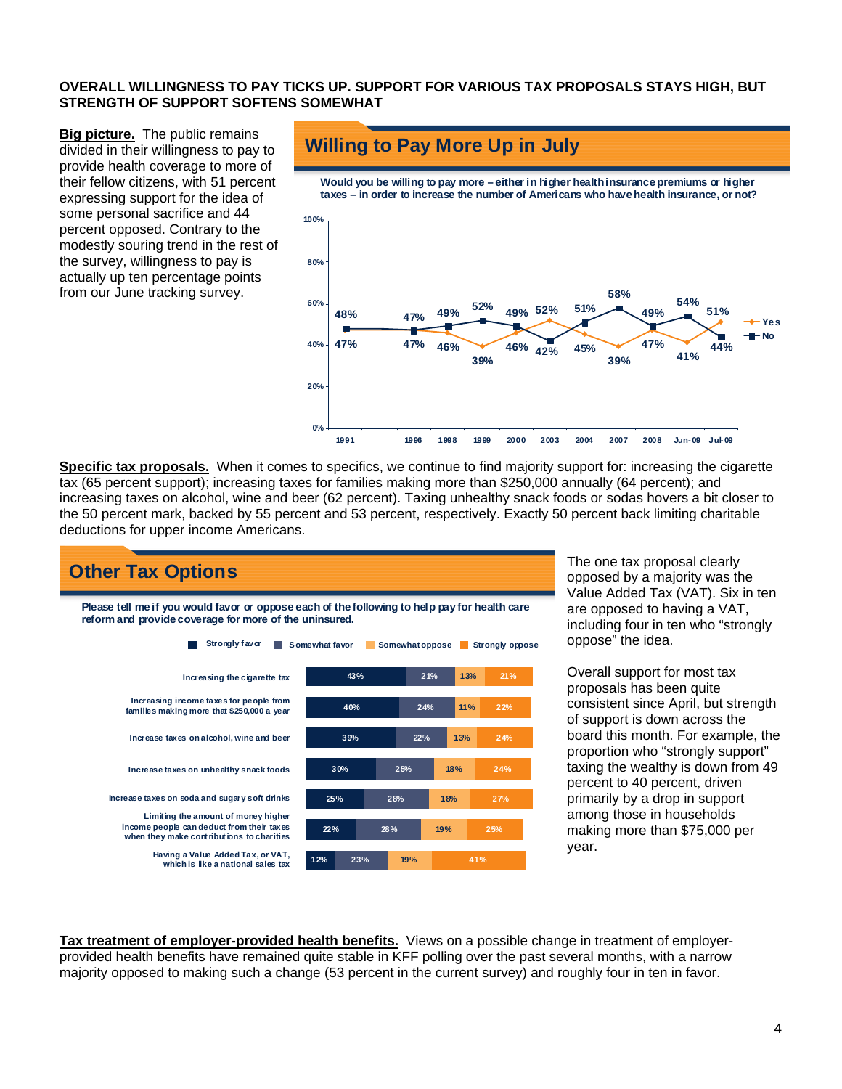#### **OVERALL WILLINGNESS TO PAY TICKS UP. SUPPORT FOR VARIOUS TAX PROPOSALS STAYS HIGH, BUT STRENGTH OF SUPPORT SOFTENS SOMEWHAT**

**Big picture.** The public remains divided in their willingness to pay to provide health coverage to more of their fellow citizens, with 51 percent expressing support for the idea of some personal sacrifice and 44 percent opposed. Contrary to the modestly souring trend in the rest of the survey, willingness to pay is actually up ten percentage points from our June tracking survey.

## **Willing to Pay More Up in July**



**Specific tax proposals.** When it comes to specifics, we continue to find majority support for: increasing the cigarette tax (65 percent support); increasing taxes for families making more than \$250,000 annually (64 percent); and increasing taxes on alcohol, wine and beer (62 percent). Taxing unhealthy snack foods or sodas hovers a bit closer to the 50 percent mark, backed by 55 percent and 53 percent, respectively. Exactly 50 percent back limiting charitable deductions for upper income Americans.



The one tax proposal clearly opposed by a majority was the Value Added Tax (VAT). Six in ten are opposed to having a VAT, including four in ten who "strongly oppose" the idea.

Overall support for most tax proposals has been quite consistent since April, but strength of support is down across the board this month. For example, the proportion who "strongly support" taxing the wealthy is down from 49 percent to 40 percent, driven primarily by a drop in support among those in households making more than \$75,000 per year.

**Tax treatment of employer-provided health benefits.** Views on a possible change in treatment of employerprovided health benefits have remained quite stable in KFF polling over the past several months, with a narrow majority opposed to making such a change (53 percent in the current survey) and roughly four in ten in favor.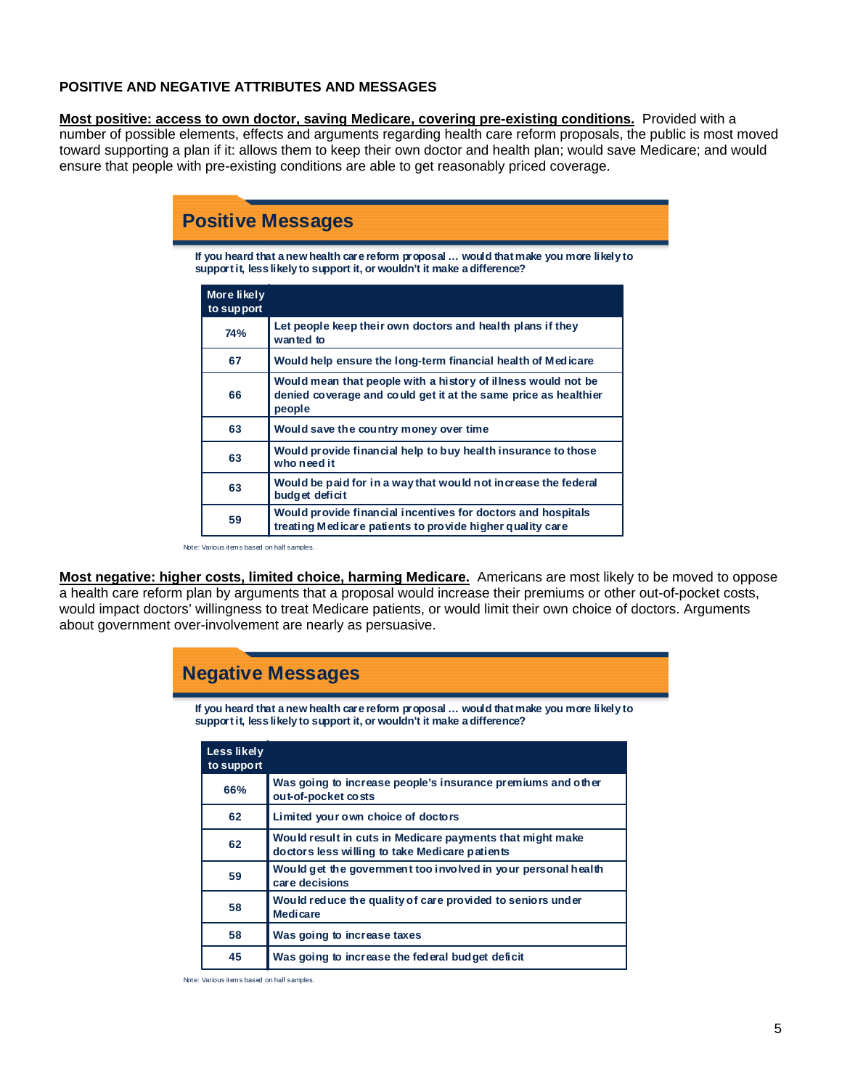#### **POSITIVE AND NEGATIVE ATTRIBUTES AND MESSAGES**

**Most positive: access to own doctor, saving Medicare, covering pre-existing conditions.** Provided with a number of possible elements, effects and arguments regarding health care reform proposals, the public is most moved toward supporting a plan if it: allows them to keep their own doctor and health plan; would save Medicare; and would ensure that people with pre-existing conditions are able to get reasonably priced coverage.

| <b>Positive Messages</b> |                           |                                                                                                                                                                     |  |  |  |
|--------------------------|---------------------------|---------------------------------------------------------------------------------------------------------------------------------------------------------------------|--|--|--|
|                          |                           | If you heard that a new health care reform proposal  would that make you more likely to<br>support it, less likely to support it, or wouldn't it make a difference? |  |  |  |
|                          | More likely<br>to support |                                                                                                                                                                     |  |  |  |
|                          | <b>74%</b>                | Let people keep their own doctors and health plans if they<br>wanted to                                                                                             |  |  |  |
|                          | 67                        | Would help ensure the long-term financial health of Medicare                                                                                                        |  |  |  |
|                          | 66                        | Would mean that people with a history of illness would not be<br>denied coverage and could get it at the same price as healthier<br>people                          |  |  |  |
|                          | 63                        | Would save the country money over time                                                                                                                              |  |  |  |
|                          | 63                        | Would provide financial help to buy health insurance to those<br>who need it                                                                                        |  |  |  |
|                          | 63                        | Would be paid for in a way that would not increase the federal<br>budget deficit                                                                                    |  |  |  |
|                          | 59                        | Would provide financial incentives for doctors and hospitals<br>treating Medicare patients to provide higher quality care                                           |  |  |  |

Note: Various items based on half samples.

**Most negative: higher costs, limited choice, harming Medicare.** Americans are most likely to be moved to oppose a health care reform plan by arguments that a proposal would increase their premiums or other out-of-pocket costs, would impact doctors' willingness to treat Medicare patients, or would limit their own choice of doctors. Arguments about government over-involvement are nearly as persuasive.

# **Negative Messages**

**If you heard that a new health care reform proposal … would that make you more likely to support it, less likely to support it, or wouldn't it make a difference?**

| Less likely<br>to support |                                                                                                             |
|---------------------------|-------------------------------------------------------------------------------------------------------------|
| 66%                       | Was going to increase people's insurance premiums and other<br>out-of-pocket costs                          |
| 62                        | Limited your own choice of doctors                                                                          |
| 62                        | Would result in cuts in Medicare payments that might make<br>doctors less willing to take Medicare patients |
| 59                        | Would get the government too involved in your personal health<br>care decisions                             |
| 58                        | Would reduce the quality of care provided to seniors under<br><b>Medicare</b>                               |
| 58                        | Was going to increase taxes                                                                                 |
| 45                        | Was going to increase the federal budget deficit                                                            |

Note: Various items based on half samples.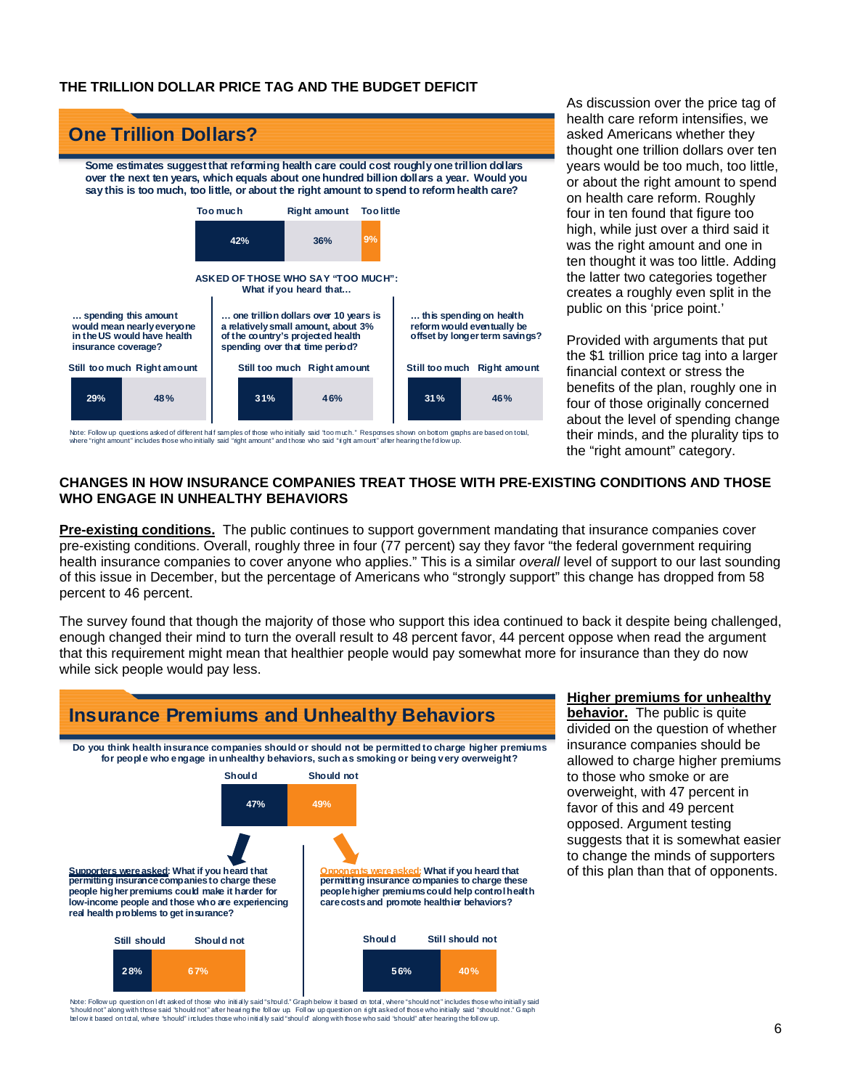#### **THE TRILLION DOLLAR PRICE TAG AND THE BUDGET DEFICIT**



Note: Follow up questions asked of different half samples of those who initially said "too much." Responses shown on bottom graphs are based on total, where "right amount" includes those who initially said "right amount" and those who said "right amount" after hearing the follow up

As discussion over the price tag of health care reform intensifies, we asked Americans whether they thought one trillion dollars over ten years would be too much, too little, or about the right amount to spend on health care reform. Roughly four in ten found that figure too high, while just over a third said it was the right amount and one in ten thought it was too little. Adding the latter two categories together creates a roughly even split in the public on this 'price point.'

Provided with arguments that put the \$1 trillion price tag into a larger financial context or stress the benefits of the plan, roughly one in four of those originally concerned about the level of spending change their minds, and the plurality tips to the "right amount" category.

#### **CHANGES IN HOW INSURANCE COMPANIES TREAT THOSE WITH PRE-EXISTING CONDITIONS AND THOSE WHO ENGAGE IN UNHEALTHY BEHAVIORS**

**Pre-existing conditions.** The public continues to support government mandating that insurance companies cover pre-existing conditions. Overall, roughly three in four (77 percent) say they favor "the federal government requiring health insurance companies to cover anyone who applies." This is a similar *overall* level of support to our last sounding of this issue in December, but the percentage of Americans who "strongly support" this change has dropped from 58 percent to 46 percent.

The survey found that though the majority of those who support this idea continued to back it despite being challenged, enough changed their mind to turn the overall result to 48 percent favor, 44 percent oppose when read the argument that this requirement might mean that healthier people would pay somewhat more for insurance than they do now while sick people would pay less.



**Higher premiums for unhealthy** 

**behavior.** The public is quite divided on the question of whether insurance companies should be allowed to charge higher premiums to those who smoke or are overweight, with 47 percent in favor of this and 49 percent opposed. Argument testing suggests that it is somewhat easier to change the minds of supporters of this plan than that of opponents.

Note: Follow up question on Ieft asked of those who initially said "should." Graph below it based on total, where "should not" includes those who initially said<br>"should not" along with those said "should not" after hearing bel ow it based on total, where "should" includes those who initially said "should" along with those who said "should" after hearing the foll ow up.